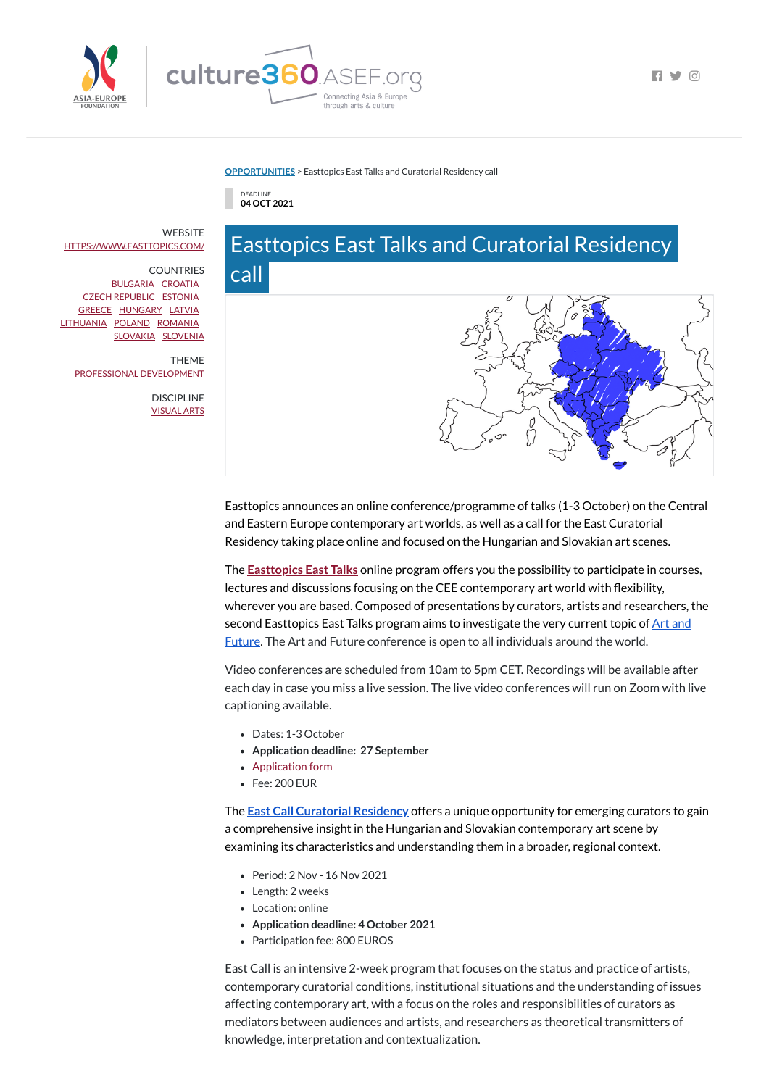

 $\blacksquare$ 

## **[OPPORTUNITIES](https://culture360.asef.org/opportunities/)** > Easttopics East Talks and Curatorial Residency call



## Easttopics East Talks and Curatorial Residency



call

Easttopics announces an online conference/programme of talks (1-3 October) on the Central and Eastern Europe contemporary art worlds, as well as a call for the East Curatorial Residency taking place online and focused on the Hungarian and Slovakian art scenes.

The **[Easttopics](https://www.easttopics.com/artandfuture) East Talks** online program offers you the possibility to participate in courses, lectures and discussions focusing on the CEE contemporary art world with flexibility, wherever you are based. Composed of presentations by curators, artists and researchers, the second Easttopics East Talks program aims to investigate the very current topic of **Art** and Future. The Art and Future [conference](https://www.easttopics.com/artandfuture) is open to all individuals around the world.

Video conferences are scheduled from 10am to 5pm CET. Recordings will be available after each day in case you miss a live session. The live video conferences will run on Zoom with live captioning available.

**WEBSITE** [HTTPS://WWW.EASTTOPICS.COM/](https://www.easttopics.com/)

- Dates: 1-3 October
- **Application deadline: 27 September**
- [Application](https://www.easttopics.com/application-form) form
- Fee: 200 EUR

The **East Call [Curatorial](https://www.easttopics.com/curatorialresidency) Residency** offers a unique opportunity for emerging curators to gain

a comprehensive insight in the Hungarian and Slovakian contemporary art scene by examining its characteristics and understanding them in a broader, regional context.

- Period: 2 Nov 16 Nov 2021
- Length: 2 weeks
- Location: online
- **Application deadline: 4 October 2021**
- Participation fee: 800 EUROS

East Call is an intensive 2-week program that focuses on the status and practice of artists, contemporary curatorial conditions, institutional situations and the understanding of issues affecting contemporary art, with a focus on the roles and responsibilities of curators as mediators between audiences and artists, and researchers as theoretical transmitters of knowledge, interpretation and contextualization.

COUNTRIES [BULGARIA](https://culture360.asef.org/countries/bulgaria/) [CROATIA](https://culture360.asef.org/countries/croatia/) CZECH [REPUBLIC](https://culture360.asef.org/countries/czech-republic/) [ESTONIA](https://culture360.asef.org/countries/estonia/) [GREECE](https://culture360.asef.org/countries/greece/) [HUNGARY](https://culture360.asef.org/countries/hungary/) [LATVIA](https://culture360.asef.org/countries/latvia/) [LITHUANIA](https://culture360.asef.org/countries/lithuania/) [POLAND](https://culture360.asef.org/countries/poland/) [ROMANIA](https://culture360.asef.org/countries/romania/) [SLOVAKIA](https://culture360.asef.org/countries/slovakia/) [SLOVENIA](https://culture360.asef.org/countries/slovenia/)

THEME PROFESSIONAL [DEVELOPMENT](https://culture360.asef.org/themes/professional-development/)

> DISCIPLINE [VISUAL](https://culture360.asef.org/disciplines/visual-arts/) ARTS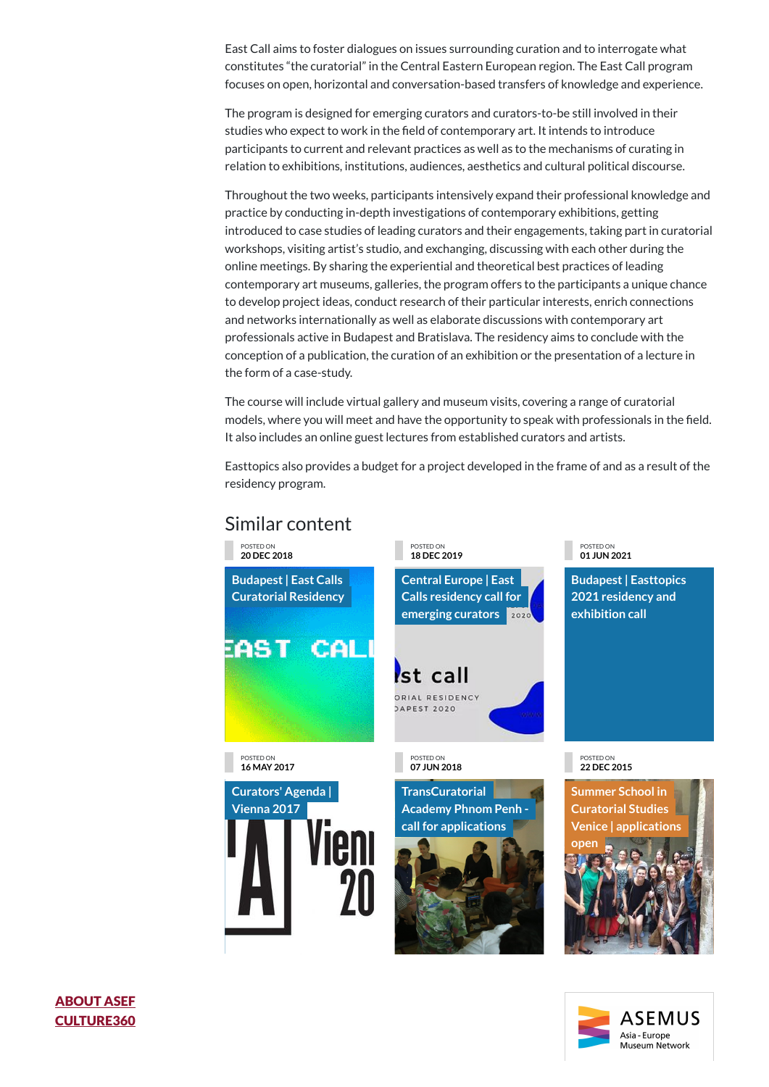East Call aims to foster dialogues on issues surrounding curation and to interrogate what constitutes "the curatorial" in the Central Eastern European region. The East Call program focuses on open, horizontal and conversation-based transfers of knowledge and experience.

The program is designed for emerging curators and curators-to-be still involved in their studies who expect to work in the field of contemporary art. It intends to introduce participants to current and relevant practices as well as to the mechanisms of curating in relation to exhibitions, institutions, audiences, aesthetics and cultural political discourse.

Throughout the two weeks, participants intensively expand their professional knowledge and practice by conducting in-depth investigations of contemporary exhibitions, getting introduced to case studies of leading curators and their engagements, taking part in curatorial workshops, visiting artist's studio, and exchanging, discussing with each other during the online meetings. By sharing the experiential and theoretical best practices of leading contemporary art museums, galleries, the program offers to the participants a unique chance to develop project ideas, conduct research of their particular interests, enrich connections and networks internationally as well as elaborate discussions with contemporary art professionals active in Budapest and Bratislava. The residency aims to conclude with the conception of a publication, the curation of an exhibition or the presentation of a lecture in the form of a case-study.







The course will include virtual gallery and museum visits, covering a range of curatorial models, where you will meet and have the opportunity to speak with professionals in the field. It also includes an online guest lectures from established curators and artists.

Easttopics also provides a budget for a project developed in the frame of and as a result of the residency program.